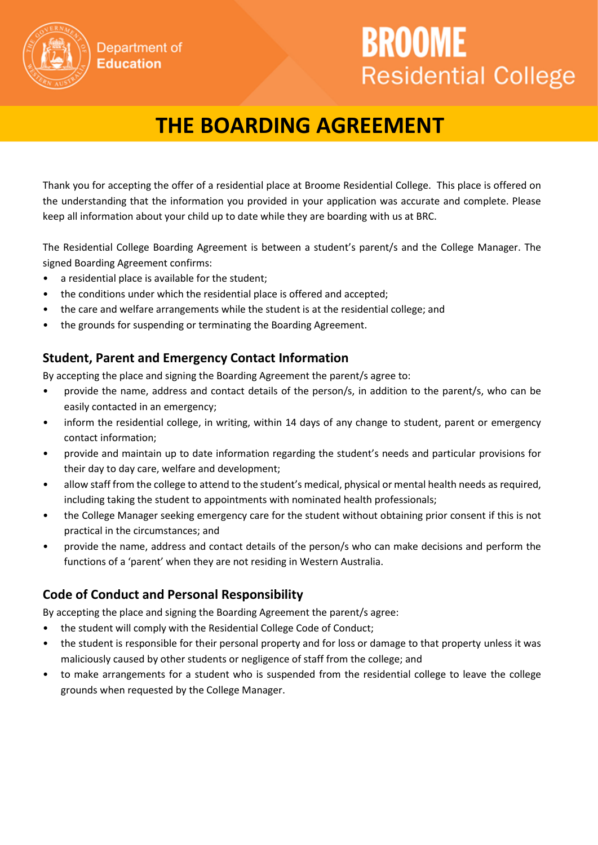# **THE BOARDING AGREEMENT**

BROOME

**Residential College** 

Thank you for accepting the offer of a residential place at Broome Residential College. This place is offered on the understanding that the information you provided in your application was accurate and complete. Please keep all information about your child up to date while they are boarding with us at BRC.

The Residential College Boarding Agreement is between a student's parent/s and the College Manager. The signed Boarding Agreement confirms:

• a residential place is available for the student;

Department of **Education** 

- the conditions under which the residential place is offered and accepted;
- the care and welfare arrangements while the student is at the residential college; and
- the grounds for suspending or terminating the Boarding Agreement.

## **Student, Parent and Emergency Contact Information**

By accepting the place and signing the Boarding Agreement the parent/s agree to:

- provide the name, address and contact details of the person/s, in addition to the parent/s, who can be easily contacted in an emergency;
- inform the residential college, in writing, within 14 days of any change to student, parent or emergency contact information;
- provide and maintain up to date information regarding the student's needs and particular provisions for their day to day care, welfare and development;
- allow staff from the college to attend to the student's medical, physical or mental health needs as required, including taking the student to appointments with nominated health professionals;
- the College Manager seeking emergency care for the student without obtaining prior consent if this is not practical in the circumstances; and
- provide the name, address and contact details of the person/s who can make decisions and perform the functions of a 'parent' when they are not residing in Western Australia.

## **Code of Conduct and Personal Responsibility**

By accepting the place and signing the Boarding Agreement the parent/s agree:

- the student will comply with the Residential College Code of Conduct;
- the student is responsible for their personal property and for loss or damage to that property unless it was maliciously caused by other students or negligence of staff from the college; and
- to make arrangements for a student who is suspended from the residential college to leave the college grounds when requested by the College Manager.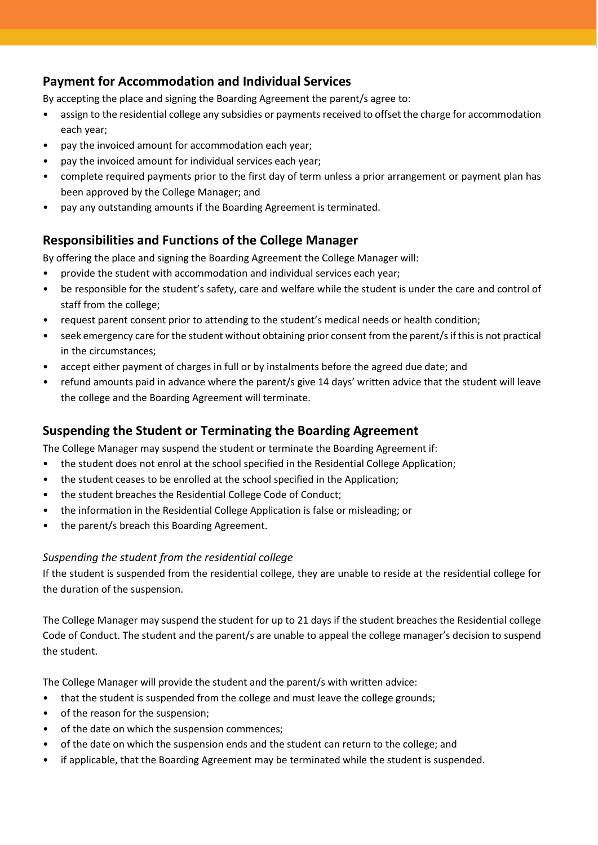## **Payment for Accommodation and Individual Services**

By accepting the place and signing the Boarding Agreement the parent/s agree to:

- assign to the residential college any subsidies or payments received to offset the charge for accommodation each year;
- pay the invoiced amount for accommodation each year;
- pay the invoiced amount for individual services each year;
- complete required payments prior to the first day of term unless a prior arrangement or payment plan has been approved by the College Manager; and
- pay any outstanding amounts if the Boarding Agreement is terminated.

## **Responsibilities and Functions of the College Manager**

By offering the place and signing the Boarding Agreement the College Manager will:

- provide the student with accommodation and individual services each year;
- be responsible for the student's safety, care and welfare while the student is under the care and control of staff from the college;
- request parent consent prior to attending to the student's medical needs or health condition;
- seek emergency care for the student without obtaining prior consent from the parent/s if this is not practical in the circumstances;
- accept either payment of charges in full or by instalments before the agreed due date; and
- refund amounts paid in advance where the parent/s give 14 days' written advice that the student will leave the college and the Boarding Agreement will terminate.

## **Suspending the Student or Terminating the Boarding Agreement**

The College Manager may suspend the student or terminate the Boarding Agreement if:

- the student does not enrol at the school specified in the Residential College Application;
- the student ceases to be enrolled at the school specified in the Application;
- the student breaches the Residential College Code of Conduct;
- the information in the Residential College Application is false or misleading; or
- the parent/s breach this Boarding Agreement.

### *Suspending the student from the residential college*

If the student is suspended from the residential college, they are unable to reside at the residential college for the duration of the suspension.

The College Manager may suspend the student for up to 21 days if the student breaches the Residential college Code of Conduct. The student and the parent/s are unable to appeal the college manager's decision to suspend the student.

The College Manager will provide the student and the parent/s with written advice:

- that the student is suspended from the college and must leave the college grounds;
- of the reason for the suspension;
- of the date on which the suspension commences;
- of the date on which the suspension ends and the student can return to the college; and
- if applicable, that the Boarding Agreement may be terminated while the student is suspended.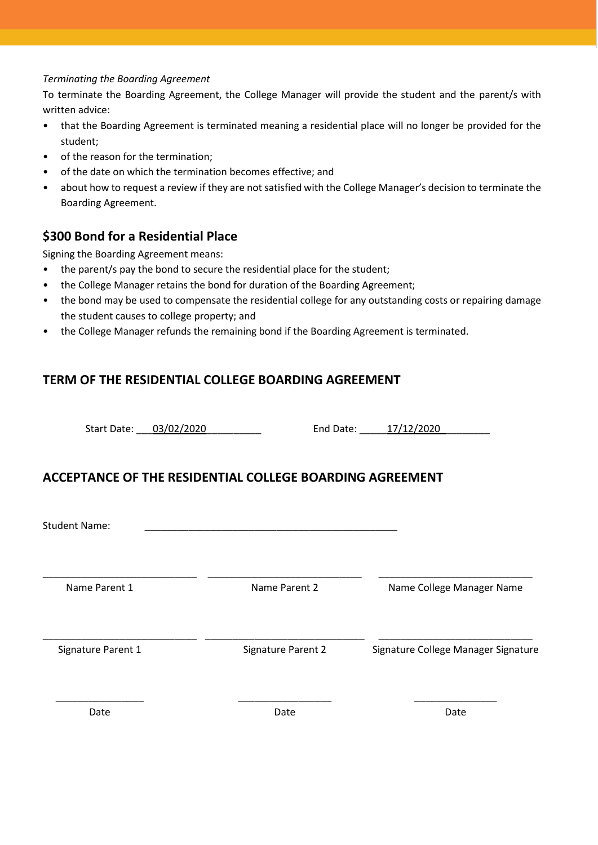#### *Terminating the Boarding Agreement*

To terminate the Boarding Agreement, the College Manager will provide the student and the parent/s with written advice:

- that the Boarding Agreement is terminated meaning a residential place will no longer be provided for the student;
- of the reason for the termination;
- of the date on which the termination becomes effective; and
- about how to request a review if they are not satisfied with the College Manager's decision to terminate the Boarding Agreement.

## **\$300 Bond for a Residential Place**

Signing the Boarding Agreement means:

- the parent/s pay the bond to secure the residential place for the student;
- the College Manager retains the bond for duration of the Boarding Agreement;
- the bond may be used to compensate the residential college for any outstanding costs or repairing damage the student causes to college property; and
- the College Manager refunds the remaining bond if the Boarding Agreement is terminated.

## **TERM OF THE RESIDENTIAL COLLEGE BOARDING AGREEMENT**

Start Date: \_\_\_03/02/2020\_\_\_\_\_\_\_\_\_\_ End Date: \_\_\_\_\_17/12/2020\_\_\_\_\_\_\_\_\_

## **ACCEPTANCE OF THE RESIDENTIAL COLLEGE BOARDING AGREEMENT**

Student Name:

\_\_\_\_\_\_\_\_\_\_\_\_\_\_\_\_\_\_\_\_\_\_\_\_\_\_\_\_ \_\_\_\_\_\_\_\_\_\_\_\_\_\_\_\_\_\_\_\_\_\_\_\_\_\_\_\_ \_\_\_\_\_\_\_\_\_\_\_\_\_\_\_\_\_\_\_\_\_\_\_\_\_\_\_\_

Name Parent 1 **Name Parent 2** Name Parent 2 Name College Manager Name

\_\_\_\_\_\_\_\_\_\_\_\_\_\_\_\_\_\_\_\_\_\_\_\_\_\_\_\_ \_\_\_\_\_\_\_\_\_\_\_\_\_\_\_\_\_\_\_\_\_\_\_\_\_\_\_\_\_ \_\_\_\_\_\_\_\_\_\_\_\_\_\_\_\_\_\_\_\_\_\_\_\_\_\_\_\_

Signature Parent 1 Signature Parent 2 Signature College Manager Signature

Date **Date** Date Date Date Date

\_\_\_\_\_\_\_\_\_\_\_\_\_\_\_\_ \_\_\_\_\_\_\_\_\_\_\_\_\_\_\_\_\_ \_\_\_\_\_\_\_\_\_\_\_\_\_\_\_